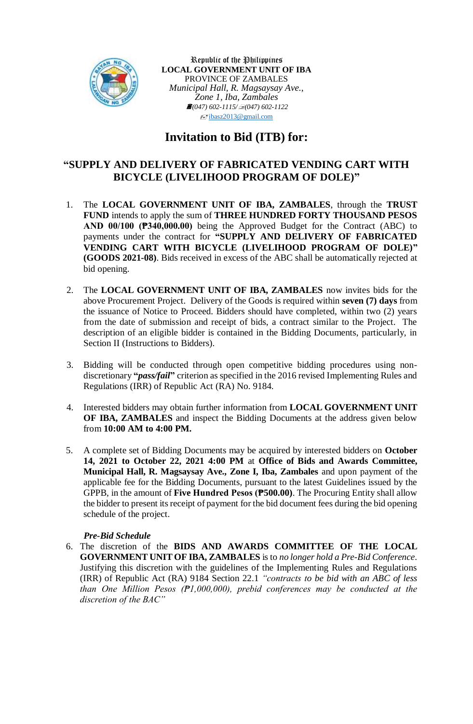

Republic of the Philippines **LOCAL GOVERNMENT UNIT OF IBA** PROVINCE OF ZAMBALES *Municipal Hall, R. Magsaysay Ave., Zone 1, Iba, Zambales (047) 602-1115/(047) 602-1122*  $\sqrt{\frac{1}{2}}$ [ibasz2013@gmail.com](mailto:ibasz2013@gmail.com)

# **Invitation to Bid (ITB) for:**

### **"SUPPLY AND DELIVERY OF FABRICATED VENDING CART WITH BICYCLE (LIVELIHOOD PROGRAM OF DOLE)"**

- 1. The **LOCAL GOVERNMENT UNIT OF IBA, ZAMBALES**, through the **TRUST FUND** intends to apply the sum of **THREE HUNDRED FORTY THOUSAND PESOS AND 00/100 (₱340,000.00)** being the Approved Budget for the Contract (ABC) to payments under the contract for **"SUPPLY AND DELIVERY OF FABRICATED VENDING CART WITH BICYCLE (LIVELIHOOD PROGRAM OF DOLE)" (GOODS 2021-08)**. Bids received in excess of the ABC shall be automatically rejected at bid opening.
- 2. The **LOCAL GOVERNMENT UNIT OF IBA, ZAMBALES** now invites bids for the above Procurement Project. Delivery of the Goods is required within **seven (7) days** from the issuance of Notice to Proceed. Bidders should have completed, within two (2) years from the date of submission and receipt of bids, a contract similar to the Project. The description of an eligible bidder is contained in the Bidding Documents, particularly, in Section II (Instructions to Bidders).
- 3. Bidding will be conducted through open competitive bidding procedures using nondiscretionary **"***pass/fail***"** criterion as specified in the 2016 revised Implementing Rules and Regulations (IRR) of Republic Act (RA) No. 9184.
- 4. Interested bidders may obtain further information from **LOCAL GOVERNMENT UNIT OF IBA, ZAMBALES** and inspect the Bidding Documents at the address given below from **10:00 AM to 4:00 PM.**
- 5. A complete set of Bidding Documents may be acquired by interested bidders on **October 14, 2021 to October 22, 2021 4:00 PM** at **Office of Bids and Awards Committee, Municipal Hall, R. Magsaysay Ave., Zone I, Iba, Zambales** and upon payment of the applicable fee for the Bidding Documents, pursuant to the latest Guidelines issued by the GPPB, in the amount of **Five Hundred Pesos (₱500.00)**. The Procuring Entity shall allow the bidder to present its receipt of payment for the bid document fees during the bid opening schedule of the project.

### *Pre-Bid Schedule*

6. The discretion of the **BIDS AND AWARDS COMMITTEE OF THE LOCAL GOVERNMENT UNIT OF IBA, ZAMBALES** is to *no longer hold a Pre-Bid Conference*. Justifying this discretion with the guidelines of the Implementing Rules and Regulations (IRR) of Republic Act (RA) 9184 Section 22.1 *"contracts to be bid with an ABC of less than One Million Pesos (₱1,000,000), prebid conferences may be conducted at the discretion of the BAC"*